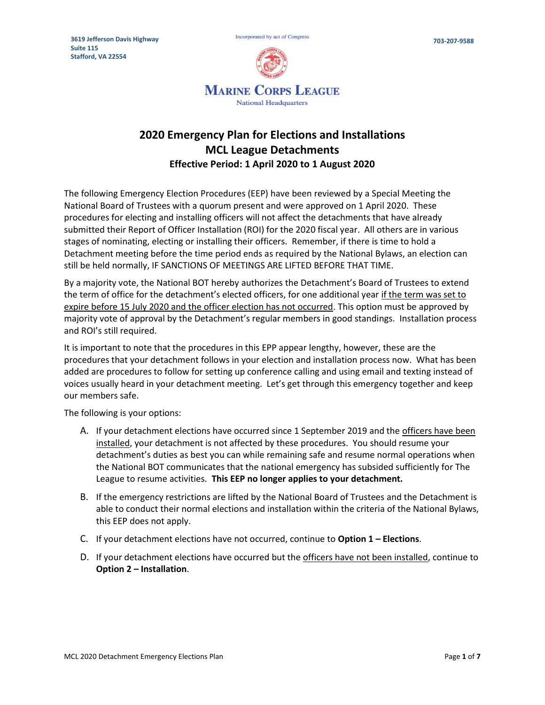

# **2020 Emergency Plan for Elections and Installations MCL League Detachments Effective Period: 1 April 2020 to 1 August 2020**

The following Emergency Election Procedures (EEP) have been reviewed by a Special Meeting the National Board of Trustees with a quorum present and were approved on 1 April 2020. These procedures for electing and installing officers will not affect the detachments that have already submitted their Report of Officer Installation (ROI) for the 2020 fiscal year. All others are in various stages of nominating, electing or installing their officers. Remember, if there is time to hold a Detachment meeting before the time period ends as required by the National Bylaws, an election can still be held normally, IF SANCTIONS OF MEETINGS ARE LIFTED BEFORE THAT TIME.

By a majority vote, the National BOT hereby authorizes the Detachment's Board of Trustees to extend the term of office for the detachment's elected officers, for one additional year if the term was set to expire before 15 July 2020 and the officer election has not occurred. This option must be approved by majority vote of approval by the Detachment's regular members in good standings. Installation process and ROI's still required.

It is important to note that the procedures in this EPP appear lengthy, however, these are the procedures that your detachment follows in your election and installation process now. What has been added are procedures to follow for setting up conference calling and using email and texting instead of voices usually heard in your detachment meeting. Let's get through this emergency together and keep our members safe.

The following is your options:

- A. If your detachment elections have occurred since 1 September 2019 and the officers have been installed, your detachment is not affected by these procedures. You should resume your detachment's duties as best you can while remaining safe and resume normal operations when the National BOT communicates that the national emergency has subsided sufficiently for The League to resume activities. **This EEP no longer applies to your detachment.**
- B. If the emergency restrictions are lifted by the National Board of Trustees and the Detachment is able to conduct their normal elections and installation within the criteria of the National Bylaws, this EEP does not apply.
- C. If your detachment elections have not occurred, continue to **Option 1 – Elections**.
- D. If your detachment elections have occurred but the officers have not been installed, continue to **Option 2 – Installation**.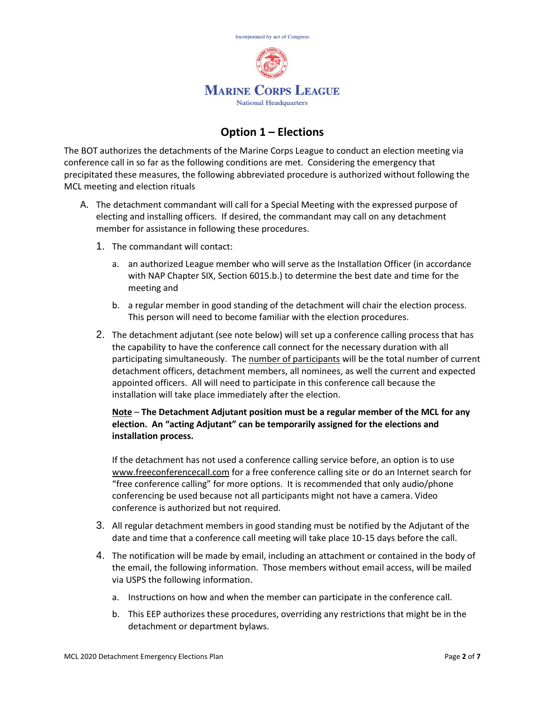

## **Option 1 – Elections**

The BOT authorizes the detachments of the Marine Corps League to conduct an election meeting via conference call in so far as the following conditions are met. Considering the emergency that precipitated these measures, the following abbreviated procedure is authorized without following the MCL meeting and election rituals

- A. The detachment commandant will call for a Special Meeting with the expressed purpose of electing and installing officers. If desired, the commandant may call on any detachment member for assistance in following these procedures.
	- 1. The commandant will contact:
		- a. an authorized League member who will serve as the Installation Officer (in accordance with NAP Chapter SIX, Section 6015.b.) to determine the best date and time for the meeting and
		- b. a regular member in good standing of the detachment will chair the election process. This person will need to become familiar with the election procedures.
	- 2. The detachment adjutant (see note below) will set up a conference calling process that has the capability to have the conference call connect for the necessary duration with all participating simultaneously. The number of participants will be the total number of current detachment officers, detachment members, all nominees, as well the current and expected appointed officers. All will need to participate in this conference call because the installation will take place immediately after the election.

#### **Note** – **The Detachment Adjutant position must be a regular member of the MCL for any election. An "acting Adjutant" can be temporarily assigned for the elections and installation process.**

If the detachment has not used a conference calling service before, an option is to use [www.freeconferencecall.com](http://www.freeconferencecall.com/) for a free conference calling site or do an Internet search for "free conference calling" for more options. It is recommended that only audio/phone conferencing be used because not all participants might not have a camera. Video conference is authorized but not required.

- 3. All regular detachment members in good standing must be notified by the Adjutant of the date and time that a conference call meeting will take place 10-15 days before the call.
- 4. The notification will be made by email, including an attachment or contained in the body of the email, the following information. Those members without email access, will be mailed via USPS the following information.
	- a. Instructions on how and when the member can participate in the conference call.
	- b. This EEP authorizes these procedures, overriding any restrictions that might be in the detachment or department bylaws.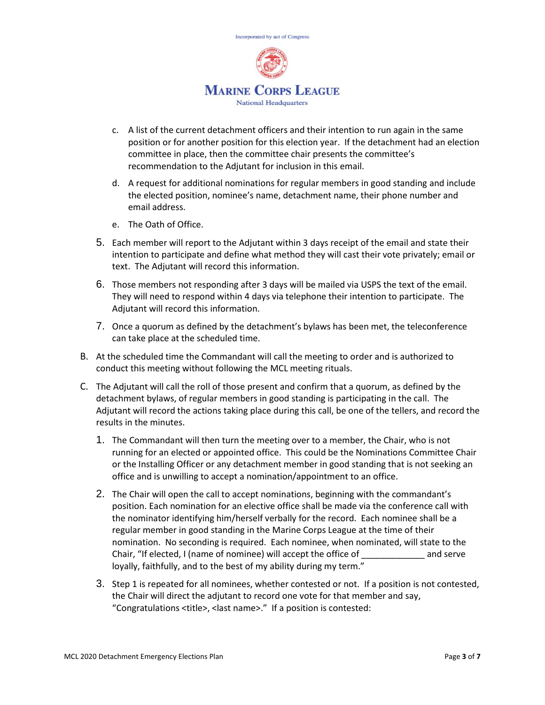

- c. A list of the current detachment officers and their intention to run again in the same position or for another position for this election year. If the detachment had an election committee in place, then the committee chair presents the committee's recommendation to the Adjutant for inclusion in this email.
- d. A request for additional nominations for regular members in good standing and include the elected position, nominee's name, detachment name, their phone number and email address.
- e. The Oath of Office.
- 5. Each member will report to the Adjutant within 3 days receipt of the email and state their intention to participate and define what method they will cast their vote privately; email or text. The Adjutant will record this information.
- 6. Those members not responding after 3 days will be mailed via USPS the text of the email. They will need to respond within 4 days via telephone their intention to participate. The Adjutant will record this information.
- 7. Once a quorum as defined by the detachment's bylaws has been met, the teleconference can take place at the scheduled time.
- B. At the scheduled time the Commandant will call the meeting to order and is authorized to conduct this meeting without following the MCL meeting rituals.
- C. The Adjutant will call the roll of those present and confirm that a quorum, as defined by the detachment bylaws, of regular members in good standing is participating in the call. The Adjutant will record the actions taking place during this call, be one of the tellers, and record the results in the minutes.
	- 1. The Commandant will then turn the meeting over to a member, the Chair, who is not running for an elected or appointed office. This could be the Nominations Committee Chair or the Installing Officer or any detachment member in good standing that is not seeking an office and is unwilling to accept a nomination/appointment to an office.
	- 2. The Chair will open the call to accept nominations, beginning with the commandant's position. Each nomination for an elective office shall be made via the conference call with the nominator identifying him/herself verbally for the record. Each nominee shall be a regular member in good standing in the Marine Corps League at the time of their nomination. No seconding is required. Each nominee, when nominated, will state to the Chair, "If elected, I (name of nominee) will accept the office of \_\_\_\_\_\_\_\_\_\_\_\_\_ and serve loyally, faithfully, and to the best of my ability during my term."
	- 3. Step 1 is repeated for all nominees, whether contested or not. If a position is not contested, the Chair will direct the adjutant to record one vote for that member and say, "Congratulations <title>, <last name>." If a position is contested: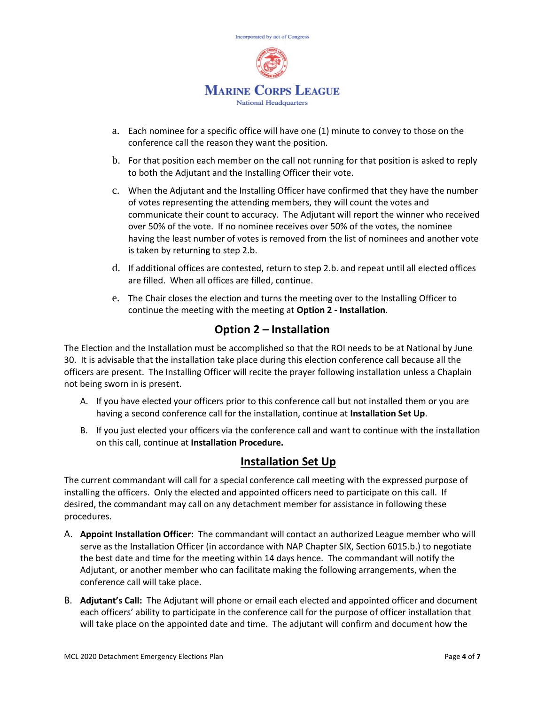

- a. Each nominee for a specific office will have one (1) minute to convey to those on the conference call the reason they want the position.
- b. For that position each member on the call not running for that position is asked to reply to both the Adjutant and the Installing Officer their vote.
- c. When the Adjutant and the Installing Officer have confirmed that they have the number of votes representing the attending members, they will count the votes and communicate their count to accuracy. The Adjutant will report the winner who received over 50% of the vote. If no nominee receives over 50% of the votes, the nominee having the least number of votes is removed from the list of nominees and another vote is taken by returning to step 2.b.
- d. If additional offices are contested, return to step 2.b. and repeat until all elected offices are filled. When all offices are filled, continue.
- e. The Chair closes the election and turns the meeting over to the Installing Officer to continue the meeting with the meeting at **Option 2 - Installation**.

## **Option 2 – Installation**

The Election and the Installation must be accomplished so that the ROI needs to be at National by June 30. It is advisable that the installation take place during this election conference call because all the officers are present. The Installing Officer will recite the prayer following installation unless a Chaplain not being sworn in is present.

- A. If you have elected your officers prior to this conference call but not installed them or you are having a second conference call for the installation, continue at **Installation Set Up**.
- B. If you just elected your officers via the conference call and want to continue with the installation on this call, continue at **Installation Procedure.**

#### **Installation Set Up**

The current commandant will call for a special conference call meeting with the expressed purpose of installing the officers. Only the elected and appointed officers need to participate on this call. If desired, the commandant may call on any detachment member for assistance in following these procedures.

- A. **Appoint Installation Officer:** The commandant will contact an authorized League member who will serve as the Installation Officer (in accordance with NAP Chapter SIX, Section 6015.b.) to negotiate the best date and time for the meeting within 14 days hence. The commandant will notify the Adjutant, or another member who can facilitate making the following arrangements, when the conference call will take place.
- B. **Adjutant's Call:** The Adjutant will phone or email each elected and appointed officer and document each officers' ability to participate in the conference call for the purpose of officer installation that will take place on the appointed date and time. The adjutant will confirm and document how the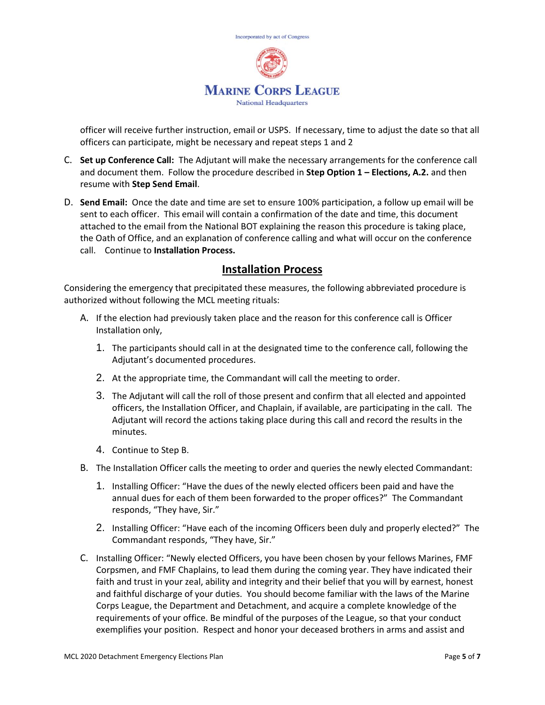

officer will receive further instruction, email or USPS. If necessary, time to adjust the date so that all officers can participate, might be necessary and repeat steps 1 and 2

- C. **Set up Conference Call:** The Adjutant will make the necessary arrangements for the conference call and document them. Follow the procedure described in **Step Option 1 – Elections, A.2.** and then resume with **Step Send Email**.
- D. **Send Email:** Once the date and time are set to ensure 100% participation, a follow up email will be sent to each officer. This email will contain a confirmation of the date and time, this document attached to the email from the National BOT explaining the reason this procedure is taking place, the Oath of Office, and an explanation of conference calling and what will occur on the conference call. Continue to **Installation Process.**

#### **Installation Process**

Considering the emergency that precipitated these measures, the following abbreviated procedure is authorized without following the MCL meeting rituals:

- A. If the election had previously taken place and the reason for this conference call is Officer Installation only,
	- 1. The participants should call in at the designated time to the conference call, following the Adjutant's documented procedures.
	- 2. At the appropriate time, the Commandant will call the meeting to order.
	- 3. The Adjutant will call the roll of those present and confirm that all elected and appointed officers, the Installation Officer, and Chaplain, if available, are participating in the call. The Adjutant will record the actions taking place during this call and record the results in the minutes.
	- 4. Continue to Step B.
- B. The Installation Officer calls the meeting to order and queries the newly elected Commandant:
	- 1. Installing Officer: "Have the dues of the newly elected officers been paid and have the annual dues for each of them been forwarded to the proper offices?" The Commandant responds, "They have, Sir."
	- 2. Installing Officer: "Have each of the incoming Officers been duly and properly elected?" The Commandant responds, "They have, Sir."
- C. Installing Officer: "Newly elected Officers, you have been chosen by your fellows Marines, FMF Corpsmen, and FMF Chaplains, to lead them during the coming year. They have indicated their faith and trust in your zeal, ability and integrity and their belief that you will by earnest, honest and faithful discharge of your duties. You should become familiar with the laws of the Marine Corps League, the Department and Detachment, and acquire a complete knowledge of the requirements of your office. Be mindful of the purposes of the League, so that your conduct exemplifies your position. Respect and honor your deceased brothers in arms and assist and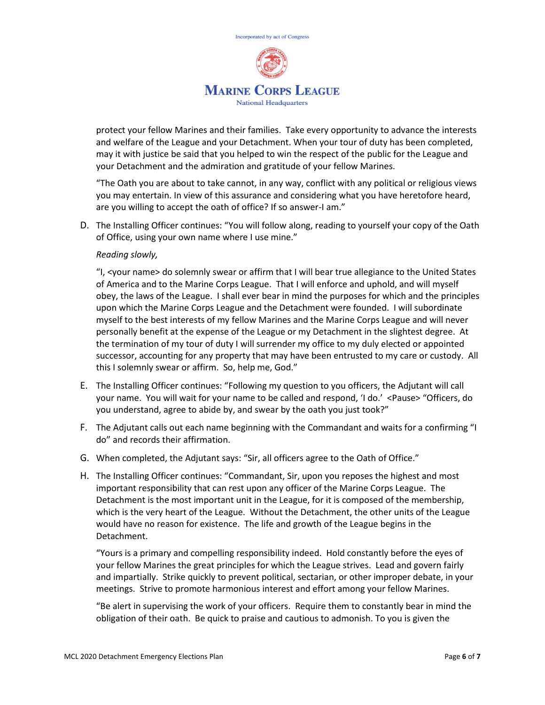

protect your fellow Marines and their families. Take every opportunity to advance the interests and welfare of the League and your Detachment. When your tour of duty has been completed, may it with justice be said that you helped to win the respect of the public for the League and your Detachment and the admiration and gratitude of your fellow Marines.

"The Oath you are about to take cannot, in any way, conflict with any political or religious views you may entertain. In view of this assurance and considering what you have heretofore heard, are you willing to accept the oath of office? If so answer-I am."

D. The Installing Officer continues: "You will follow along, reading to yourself your copy of the Oath of Office, using your own name where I use mine."

#### *Reading slowly,*

"I, <your name> do solemnly swear or affirm that I will bear true allegiance to the United States of America and to the Marine Corps League. That I will enforce and uphold, and will myself obey, the laws of the League. I shall ever bear in mind the purposes for which and the principles upon which the Marine Corps League and the Detachment were founded. I will subordinate myself to the best interests of my fellow Marines and the Marine Corps League and will never personally benefit at the expense of the League or my Detachment in the slightest degree. At the termination of my tour of duty I will surrender my office to my duly elected or appointed successor, accounting for any property that may have been entrusted to my care or custody. All this I solemnly swear or affirm. So, help me, God."

- E. The Installing Officer continues: "Following my question to you officers, the Adjutant will call your name. You will wait for your name to be called and respond, 'I do.' <Pause> "Officers, do you understand, agree to abide by, and swear by the oath you just took?"
- F. The Adjutant calls out each name beginning with the Commandant and waits for a confirming "I do" and records their affirmation.
- G. When completed, the Adjutant says: "Sir, all officers agree to the Oath of Office."
- H. The Installing Officer continues: "Commandant, Sir, upon you reposes the highest and most important responsibility that can rest upon any officer of the Marine Corps League. The Detachment is the most important unit in the League, for it is composed of the membership, which is the very heart of the League. Without the Detachment, the other units of the League would have no reason for existence. The life and growth of the League begins in the Detachment.

"Yours is a primary and compelling responsibility indeed. Hold constantly before the eyes of your fellow Marines the great principles for which the League strives. Lead and govern fairly and impartially. Strike quickly to prevent political, sectarian, or other improper debate, in your meetings. Strive to promote harmonious interest and effort among your fellow Marines.

"Be alert in supervising the work of your officers. Require them to constantly bear in mind the obligation of their oath. Be quick to praise and cautious to admonish. To you is given the